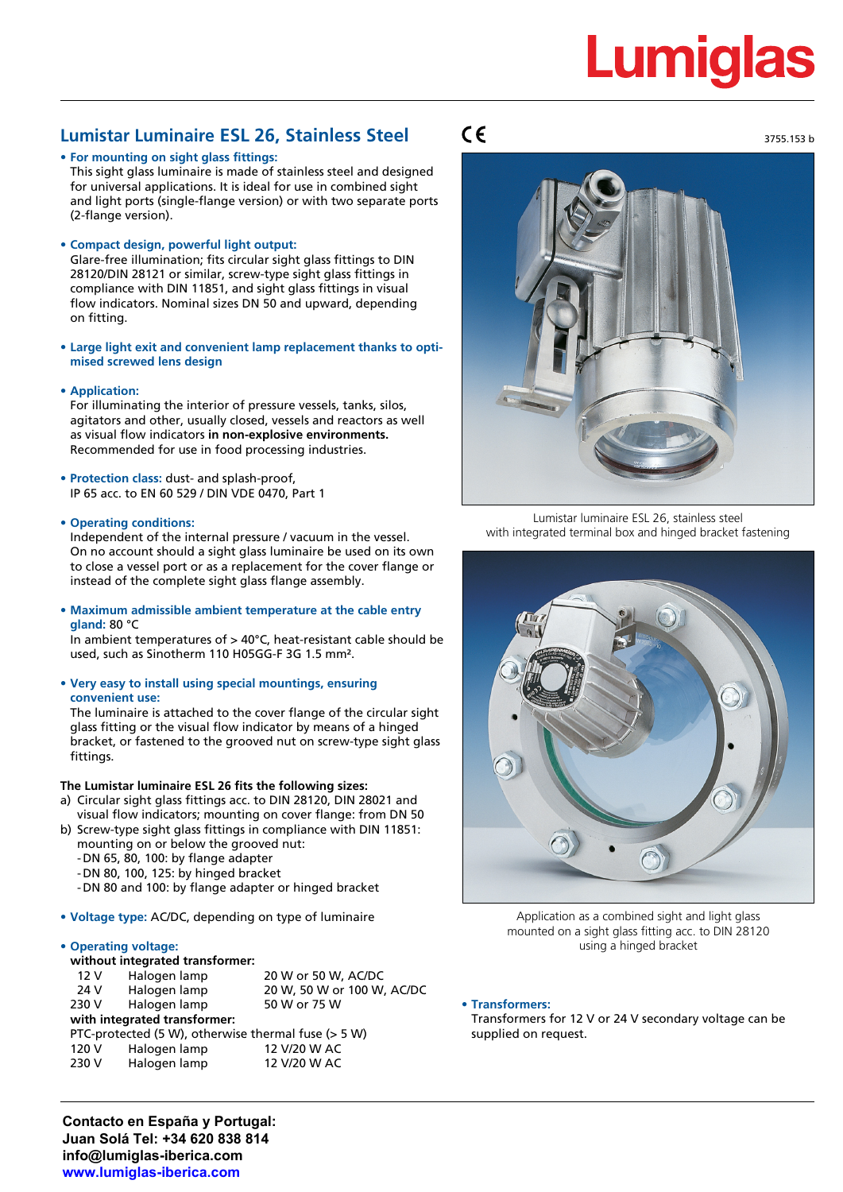# **Lumiglas**

3755.153 b

## **Lumistar Luminaire ESL 26, Stainless Steel**

**• For mounting on sight glass fittings:**

This sight glass luminaire is made of stainless steel and designed for universal applications. It is ideal for use in combined sight and light ports (single-flange version) or with two separate ports (2-flange version).

**• Compact design, powerful light output:**

Glare-free illumination; fits circular sight glass fittings to DIN 28120/DIN 28121 or similar, screw-type sight glass fittings in compliance with DIN 11851, and sight glass fittings in visual flow indicators. Nominal sizes DN 50 and upward, depending on fitting.

- **• Large light exit and convenient lamp replacement thanks to optimised screwed lens design**
- **• Application:**

For illuminating the interior of pressure vessels, tanks, silos, agitators and other, usually closed, vessels and reactors as well as visual flow indicators **in non-explosive environments.** Recommended for use in food processing industries.

- **• Protection class:** dust- and splash-proof, IP 65 acc. to EN 60 529 / DIN VDE 0470, Part 1
- **• Operating conditions:**

Independent of the internal pressure / vacuum in the vessel. On no account should a sight glass luminaire be used on its own to close a vessel port or as a replacement for the cover flange or instead of the complete sight glass flange assembly.

**• Maximum admissible ambient temperature at the cable entry gland:** 80 °C

In ambient temperatures of > 40°C, heat-resistant cable should be used, such as Sinotherm 110 H05GG-F 3G 1.5 mm².

**• Very easy to install using special mountings, ensuring convenient use:**

The luminaire is attached to the cover flange of the circular sight glass fitting or the visual flow indicator by means of a hinged bracket, or fastened to the grooved nut on screw-type sight glass fittings.

## **The Lumistar luminaire ESL 26 fits the following sizes:**

- a) Circular sight glass fittings acc. to DIN 28120, DIN 28021 and visual flow indicators; mounting on cover flange: from DN 50
- b) Screw-type sight glass fittings in compliance with DIN 11851: mounting on or below the grooved nut:
	- -DN 65, 80, 100: by flange adapter
	- -DN 80, 100, 125: by hinged bracket
	- -DN 80 and 100: by flange adapter or hinged bracket
- **• Voltage type:** AC/DC, depending on type of luminaire

## **• Operating voltage:**

| without integrated transformer:                     |              |                            |  |  |  |  |  |
|-----------------------------------------------------|--------------|----------------------------|--|--|--|--|--|
| 12 V                                                | Halogen lamp | 20 W or 50 W, AC/DC        |  |  |  |  |  |
| 24 V                                                | Halogen lamp | 20 W, 50 W or 100 W, AC/DC |  |  |  |  |  |
| 230 V                                               | Halogen lamp | 50 W or 75 W               |  |  |  |  |  |
| with integrated transformer:                        |              |                            |  |  |  |  |  |
| PTC-protected (5 W), otherwise thermal fuse (> 5 W) |              |                            |  |  |  |  |  |
| 120 V                                               | Halogen lamp | 12 V/20 W AC               |  |  |  |  |  |
| 230 V                                               | Halogen lamp | 12 V/20 W AC               |  |  |  |  |  |
|                                                     |              |                            |  |  |  |  |  |

# $\epsilon$



Lumistar luminaire ESL 26, stainless steel with integrated terminal box and hinged bracket fastening



Application as a combined sight and light glass mounted on a sight glass fitting acc. to DIN 28120 using a hinged bracket

**• Transformers:**

Transformers for 12 V or 24 V secondary voltage can be supplied on request.

**Contacto en España y Portugal: Juan Solá Tel: +34 620 838 814 info@lumiglas-iberica.com www.lumiglas-iberica.com**